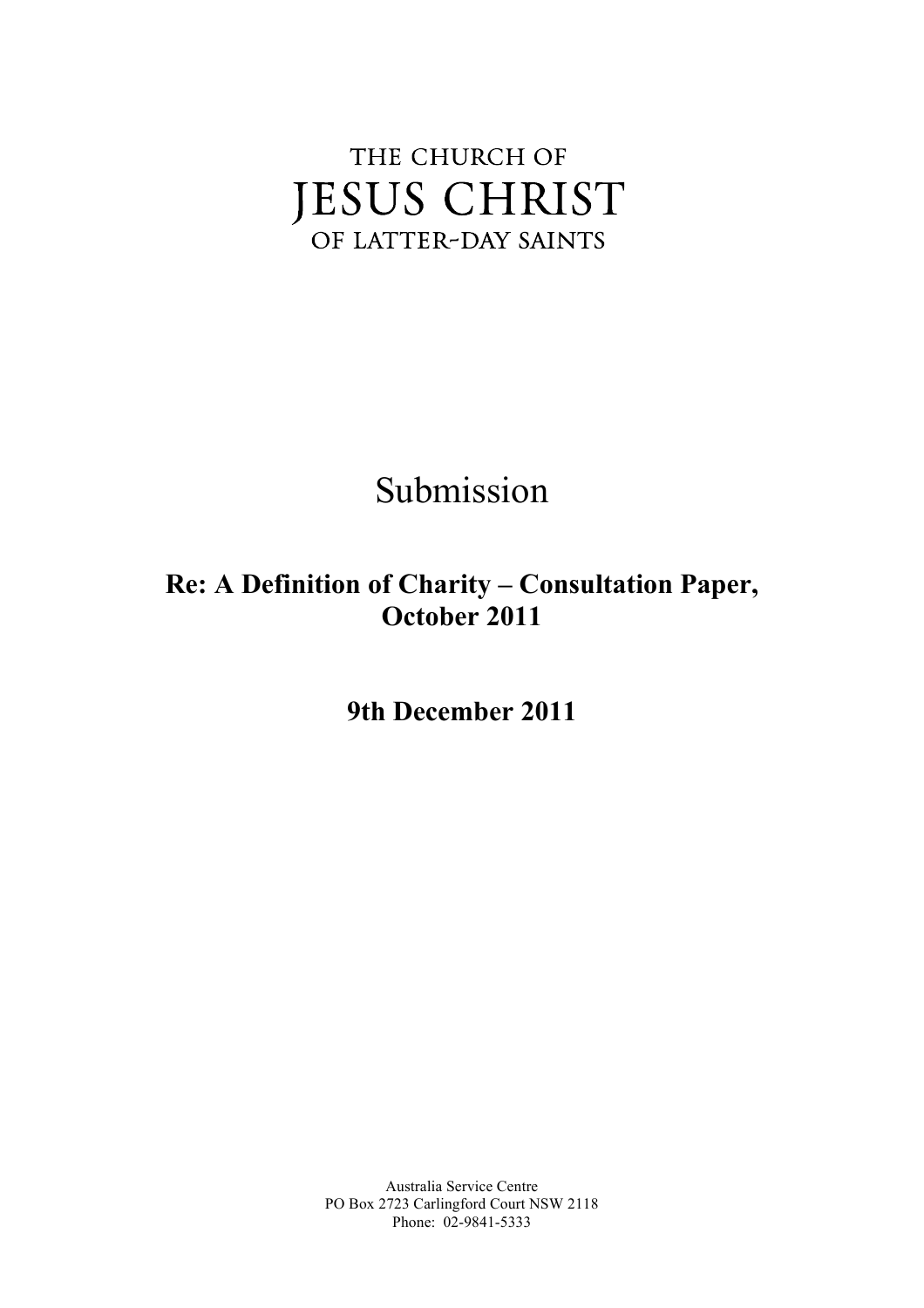# THE CHURCH OF **JESUS CHRIST** OF LATTER-DAY SAINTS

Submission

## **Re: A Definition of Charity – Consultation Paper, October 2011**

**9th December 2011**

 Australia Service Centre PO Box 2723 Carlingford Court NSW 2118 Phone: 02-9841-5333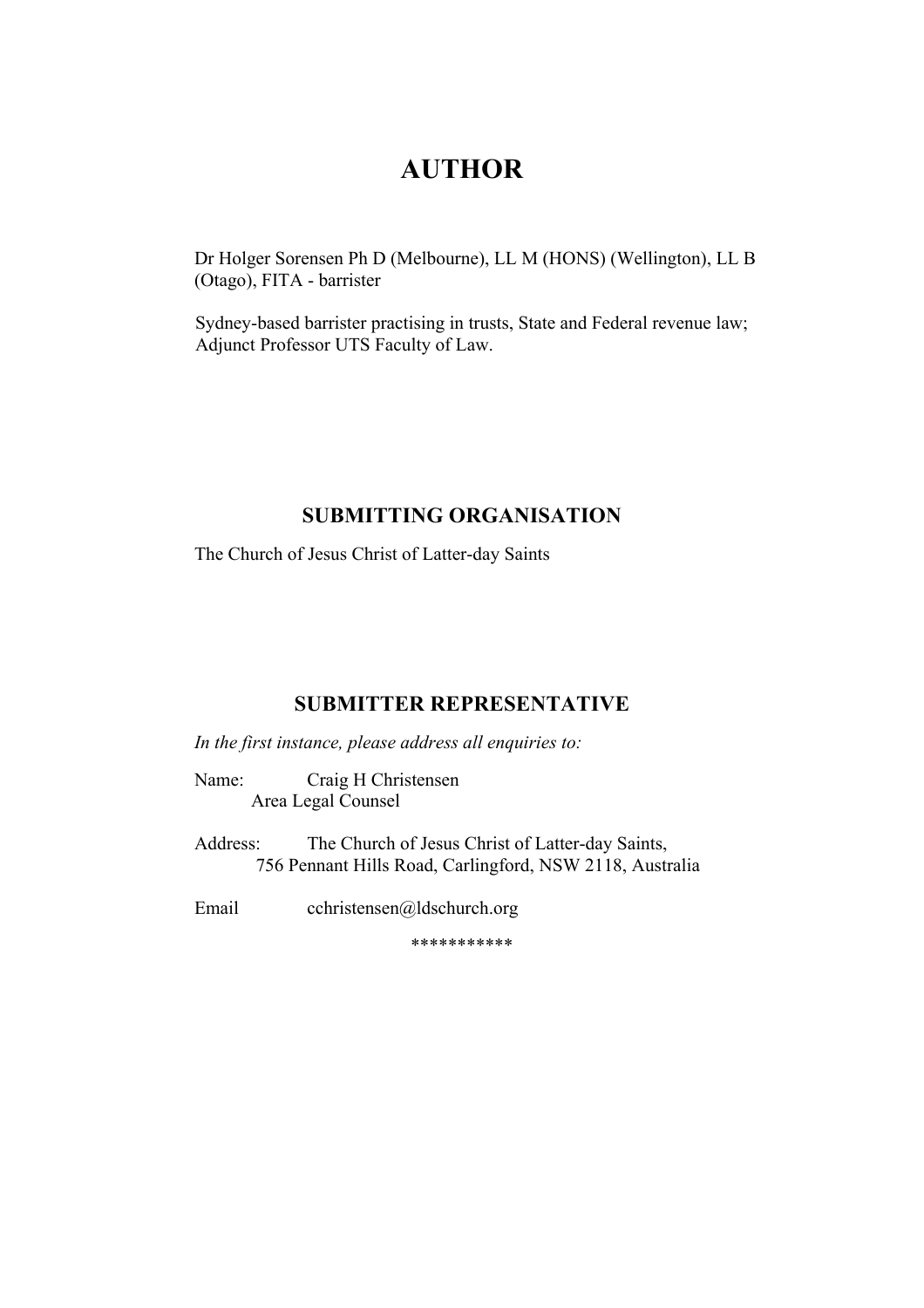## **AUTHOR**

 (Otago), FITA - barrister Dr Holger Sorensen Ph D (Melbourne), LL M (HONS) (Wellington), LL B

Sydney-based barrister practising in trusts, State and Federal revenue law; Adjunct Professor UTS Faculty of Law.

#### **SUBMITTING ORGANISATION**

The Church of Jesus Christ of Latter-day Saints

## **SUBMITTER REPRESENTATIVE**

*In the first instance, please address all enquiries to:* 

Name: Craig H Christensen Area Legal Counsel

Address: The Church of Jesus Christ of Latter-day Saints, 756 Pennant Hills Road, Carlingford, NSW 2118, Australia

Email cchristensen@ldschurch.org

\*\*\*\*\*\*\*\*\*\*\*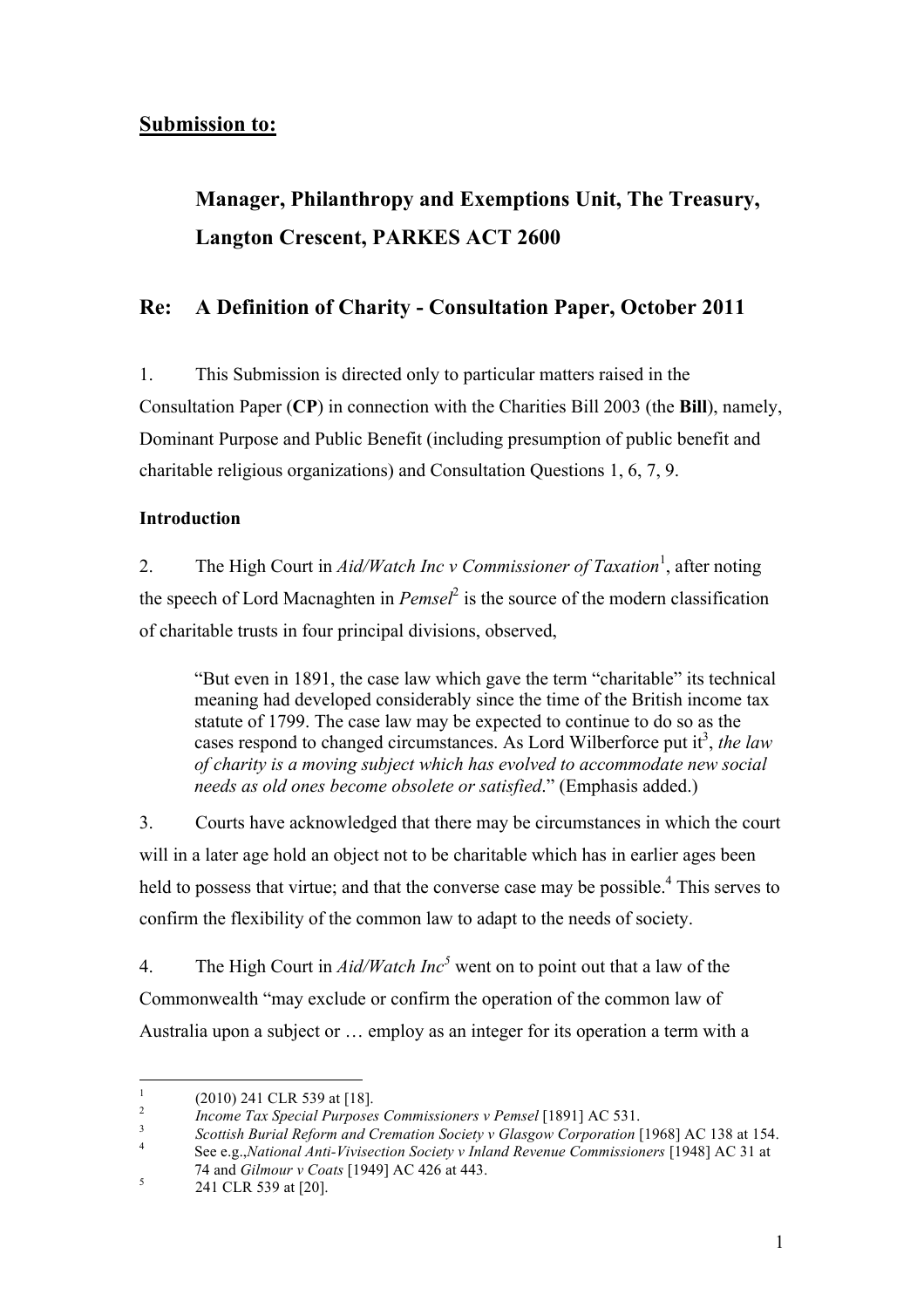## **Submission to:**

## **Langton Crescent, PARKES ACT 2600 Manager, Philanthropy and Exemptions Unit, The Treasury,**

## **Re: A Definition of Charity - Consultation Paper, October 2011**

1. This Submission is directed only to particular matters raised in the Consultation Paper (**CP**) in connection with the Charities Bill 2003 (the **Bill**), namely, Dominant Purpose and Public Benefit (including presumption of public benefit and charitable religious organizations) and Consultation Questions 1, 6, 7, 9.

### **Introduction**

2. The High Court in *Aid/Watch Inc v Commissioner of Taxation*<sup>1</sup>, after noting the speech of Lord Macnaghten in *Pemsel*2 is the source of the modern classification of charitable trusts in four principal divisions, observed,

"But even in 1891, the case law which gave the term "charitable" its technical meaning had developed considerably since the time of the British income tax statute of 1799. The case law may be expected to continue to do so as the cases respond to changed circumstances. As Lord Wilberforce put it<sup>3</sup>, the law *of charity is a moving subject which has evolved to accommodate new social needs as old ones become obsolete or satisfied*." (Emphasis added.)

3. Courts have acknowledged that there may be circumstances in which the court will in a later age hold an object not to be charitable which has in earlier ages been held to possess that virtue; and that the converse case may be possible. $4$  This serves to confirm the flexibility of the common law to adapt to the needs of society.

 $\overline{4}$ The High Court in  $\text{A}id\text{/Match}$  Inc<sup>5</sup> went on to point out that a law of the Commonwealth "may exclude or confirm the operation of the common law of Australia upon a subject or … employ as an integer for its operation a term with a

<sup>1 (2010) 241</sup> CLR 539 at [18].

 $\overline{2}$ <sup>2</sup>*Income Tax Special Purposes Commissioners v Pemsel* [1891] AC 531.

 $\overline{\mathbf{3}}$  $\overline{4}$  <sup>3</sup>*Scottish Burial Reform and Cremation Society v Glasgow Corporation* [1968] AC 138 at 154. 4 See e.g.,*National Anti-Vivisection Society v Inland Revenue Commissioners* [1948] AC 31 at

 74 and *Gilmour v Coats* [1949] AC 426 at 443. 5 241 CLR 539 at [20].  $\sqrt{5}$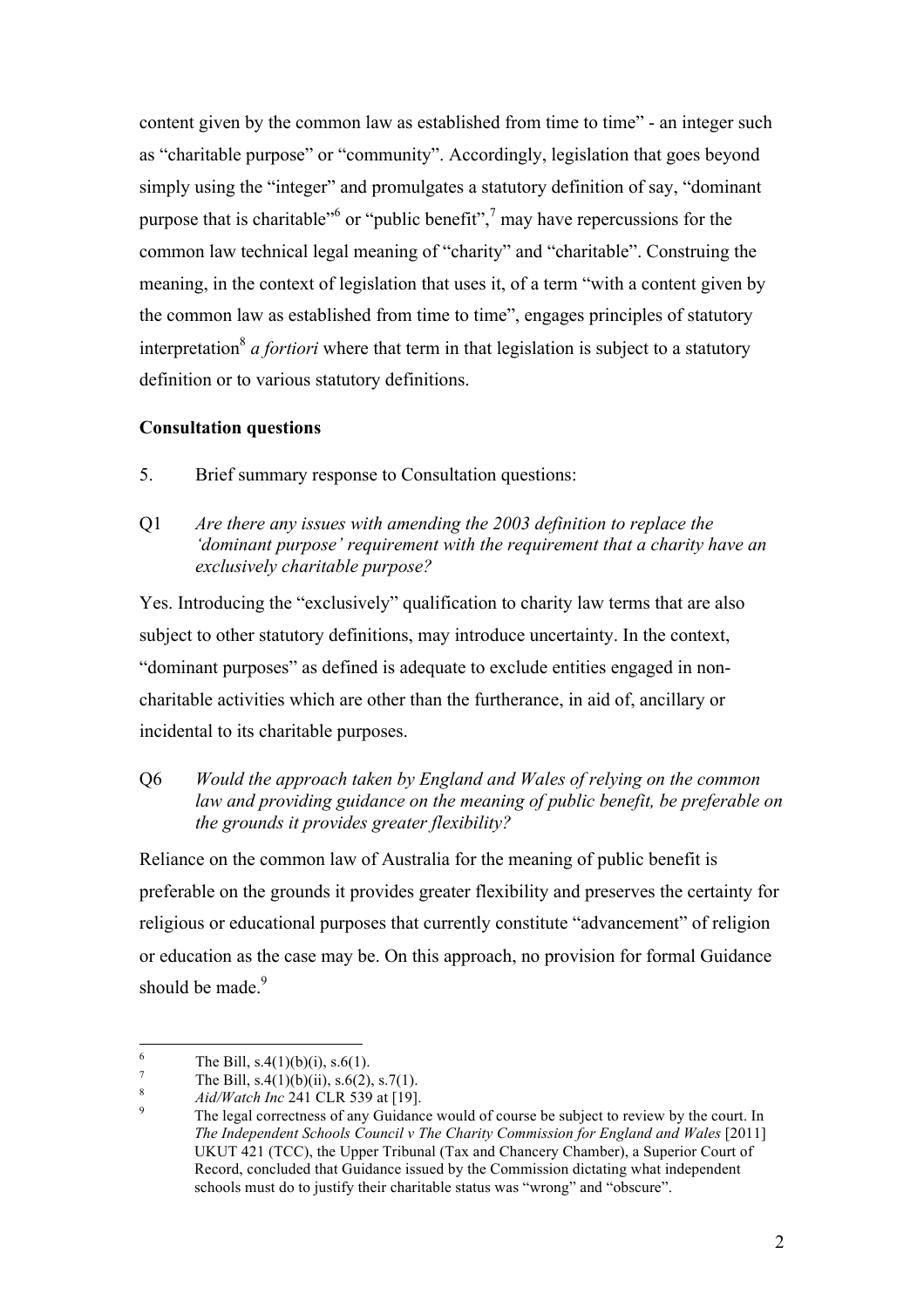content given by the common law as established from time to time" - an integer such as "charitable purpose" or "community". Accordingly, legislation that goes beyond simply using the "integer" and promulgates a statutory definition of say, "dominant purpose that is charitable<sup>36</sup> or "public benefit",<sup>7</sup> may have repercussions for the common law technical legal meaning of "charity" and "charitable". Construing the meaning, in the context of legislation that uses it, of a term "with a content given by the common law as established from time to time", engages principles of statutory interpretation<sup>8</sup> *a fortiori* where that term in that legislation is subject to a statutory definition or to various statutory definitions.

#### **Consultation questions**

- $5<sub>1</sub>$ Brief summary response to Consultation questions:
- Q1 *Are there any issues with amending the 2003 definition to replace the 'dominant purpose' requirement with the requirement that a charity have an exclusively charitable purpose?*

Yes. Introducing the "exclusively" qualification to charity law terms that are also subject to other statutory definitions, may introduce uncertainty. In the context, "dominant purposes" as defined is adequate to exclude entities engaged in noncharitable activities which are other than the furtherance, in aid of, ancillary or incidental to its charitable purposes.

#### Q6 *Would the approach taken by England and Wales of relying on the common law and providing guidance on the meaning of public benefit, be preferable on the grounds it provides greater flexibility?*

 Reliance on the common law of Australia for the meaning of public benefit is or education as the case may be. On this approach, no provision for formal Guidance should be made.<sup>9</sup> preferable on the grounds it provides greater flexibility and preserves the certainty for religious or educational purposes that currently constitute "advancement" of religion

 $\overline{a}$ The Bill,  $s.4(1)(b)(i)$ ,  $s.6(1)$ .

 $\overline{7}$ The Bill,  $s.4(1)(b)(ii)$ ,  $s.6(2)$ ,  $s.7(1)$ .

 $\,$  8  $\,$ <sup>8</sup>*Aid/Watch Inc* 241 CLR 539 at [19].

 *The Independent Schools Council v The Charity Commission for England and Wales* [2011] UKUT 421 (TCC), the Upper Tribunal (Tax and Chancery Chamber), a Superior Court of schools must do to justify their charitable status was "wrong" and "obscure". <sup>8</sup> *Aid/Watch Inc* 241 CLR 539 at [19].<br><sup>9</sup> The legal correctness of any Guidance would of course be subject to review by the court. In Record, concluded that Guidance issued by the Commission dictating what independent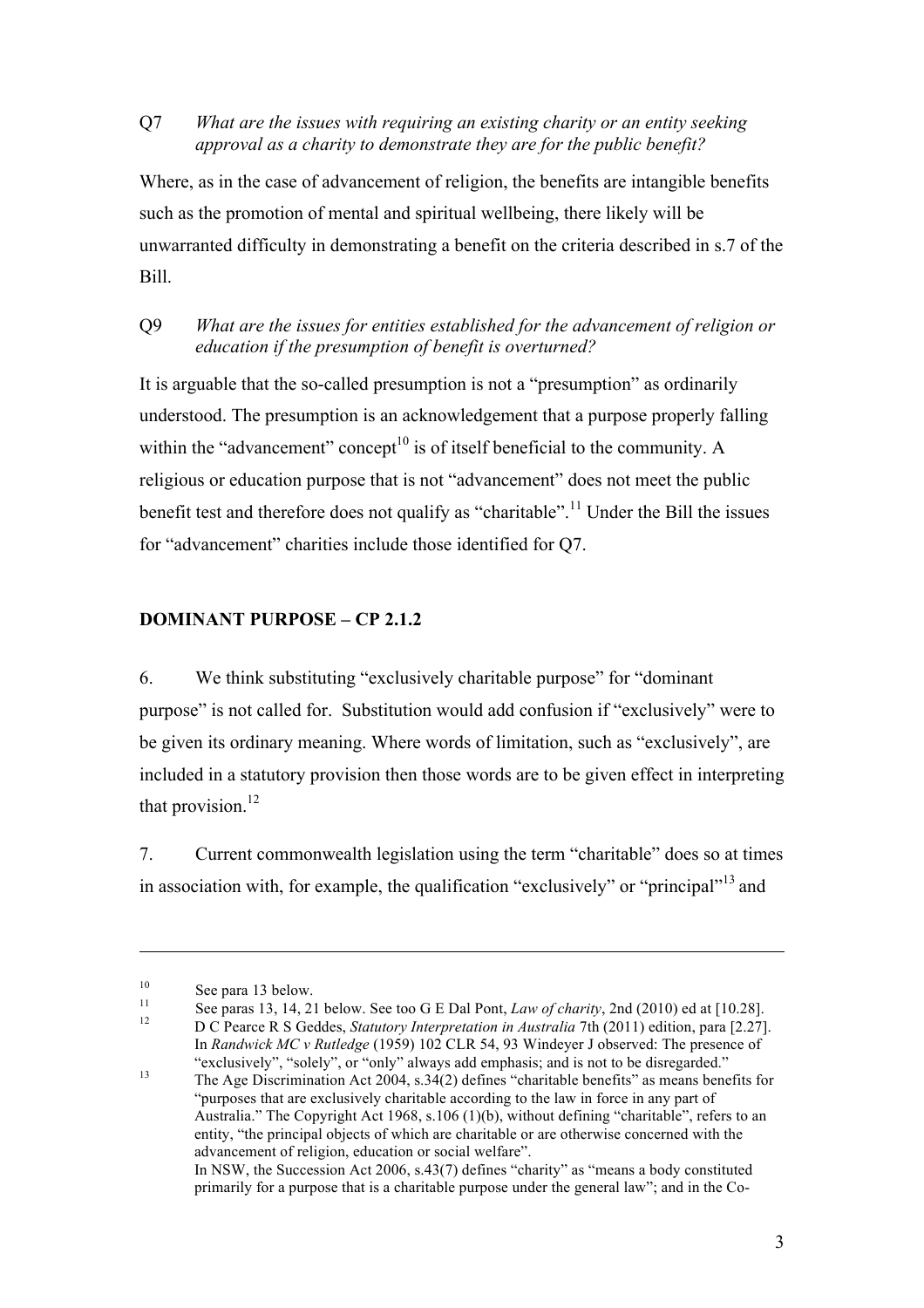#### Q7 *What are the issues with requiring an existing charity or an entity seeking approval as a charity to demonstrate they are for the public benefit?*

 Where, as in the case of advancement of religion, the benefits are intangible benefits such as the promotion of mental and spiritual wellbeing, there likely will be unwarranted difficulty in demonstrating a benefit on the criteria described in s.7 of the Bill.

#### Q9 *What are the issues for entities established for the advancement of religion or education if the presumption of benefit is overturned?*

within the "advancement" concept<sup>10</sup> is of itself beneficial to the community. A It is arguable that the so-called presumption is not a "presumption" as ordinarily understood. The presumption is an acknowledgement that a purpose properly falling religious or education purpose that is not "advancement" does not meet the public benefit test and therefore does not qualify as "charitable".<sup>11</sup> Under the Bill the issues for "advancement" charities include those identified for Q7.

#### **DOMINANT PURPOSE – CP 2.1.2**

6. We think substituting "exclusively charitable purpose" for "dominant purpose" is not called for. Substitution would add confusion if "exclusively" were to be given its ordinary meaning. Where words of limitation, such as "exclusively", are included in a statutory provision then those words are to be given effect in interpreting that provision. $^{12}$ 

7. Current commonwealth legislation using the term "charitable" does so at times in association with, for example, the qualification "exclusively" or "principal"<sup>13</sup> and

 $\overline{a}$ 

 In *Randwick MC v Rutledge* (1959) 102 CLR 54, 93 Windeyer J observed: The presence of "exclusively", "solely", or "only" always add emphasis; and is not to be disregarded."

<sup>&</sup>lt;sup>10</sup><br>See para 13 below.<br>See too G E Dal Pont, *Law of charity*, 2nd (2010) ed at [10.28].<br>D C Pearce R S Geddes, *Statutory Interpretation in Australia* 7th (2011) edition, para [2.27].

<sup>13</sup>  "purposes that are exclusively charitable according to the law in force in any part of Australia." The Copyright Act 1968, s.106 (1)(b), without defining "charitable", refers to an entity, "the principal objects of which are charitable or are otherwise concerned with the advancement of religion, education or social welfare". In NSW, the Succession Act 2006, s.43(7) defines "charity" as "means a body constituted primarily for a purpose that is a charitable purpose under the general law"; and in the Co-The Age Discrimination Act  $2004$ , s.34(2) defines "charitable benefits" as means benefits for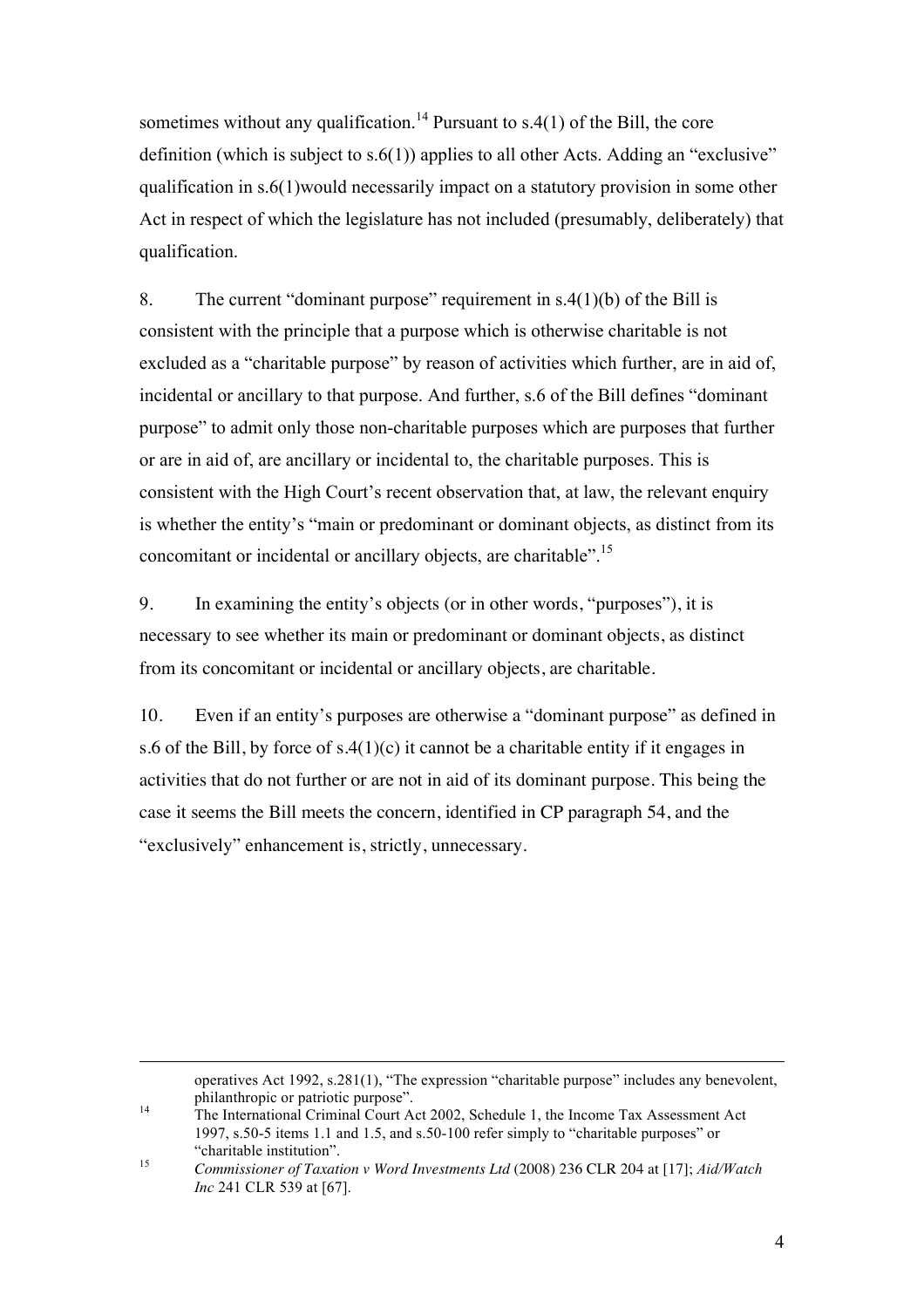Act in respect of which the legislature has not included (presumably, deliberately) that sometimes without any qualification.<sup>14</sup> Pursuant to s.4(1) of the Bill, the core definition (which is subject to  $s.6(1)$ ) applies to all other Acts. Adding an "exclusive" qualification in s.6(1)would necessarily impact on a statutory provision in some other qualification.

 consistent with the principle that a purpose which is otherwise charitable is not or are in aid of, are ancillary or incidental to, the charitable purposes. This is 8. The current "dominant purpose" requirement in s.4(1)(b) of the Bill is excluded as a "charitable purpose" by reason of activities which further, are in aid of, incidental or ancillary to that purpose. And further, s.6 of the Bill defines "dominant purpose" to admit only those non-charitable purposes which are purposes that further consistent with the High Court's recent observation that, at law, the relevant enquiry is whether the entity's "main or predominant or dominant objects, as distinct from its concomitant or incidental or ancillary objects, are charitable".15

 9. In examining the entity's objects (or in other words, "purposes"), it is necessary to see whether its main or predominant or dominant objects, as distinct from its concomitant or incidental or ancillary objects, are charitable.

 $10.$  activities that do not further or are not in aid of its dominant purpose. This being the "exclusively" enhancement is, strictly, unnecessary. Even if an entity's purposes are otherwise a "dominant purpose" as defined in s.6 of the Bill, by force of  $s.4(1)(c)$  it cannot be a charitable entity if it engages in case it seems the Bill meets the concern, identified in CP paragraph 54, and the

philanthropic or patriotic purpose". operatives Act 1992, s.281(1), "The expression "charitable purpose" includes any benevolent,

 $14$  1997, s.50-5 items 1.1 and 1.5, and s.50-100 refer simply to "charitable purposes" or The International Criminal Court Act 2002, Schedule 1, the Income Tax Assessment Act "charitable institution".<br>Commissioner of Taxation v Word Investments Ltd (2008) 236 CLR 204 at [17]; *Aid/Watch* 

<sup>15</sup> *Inc* 241 CLR 539 at [67].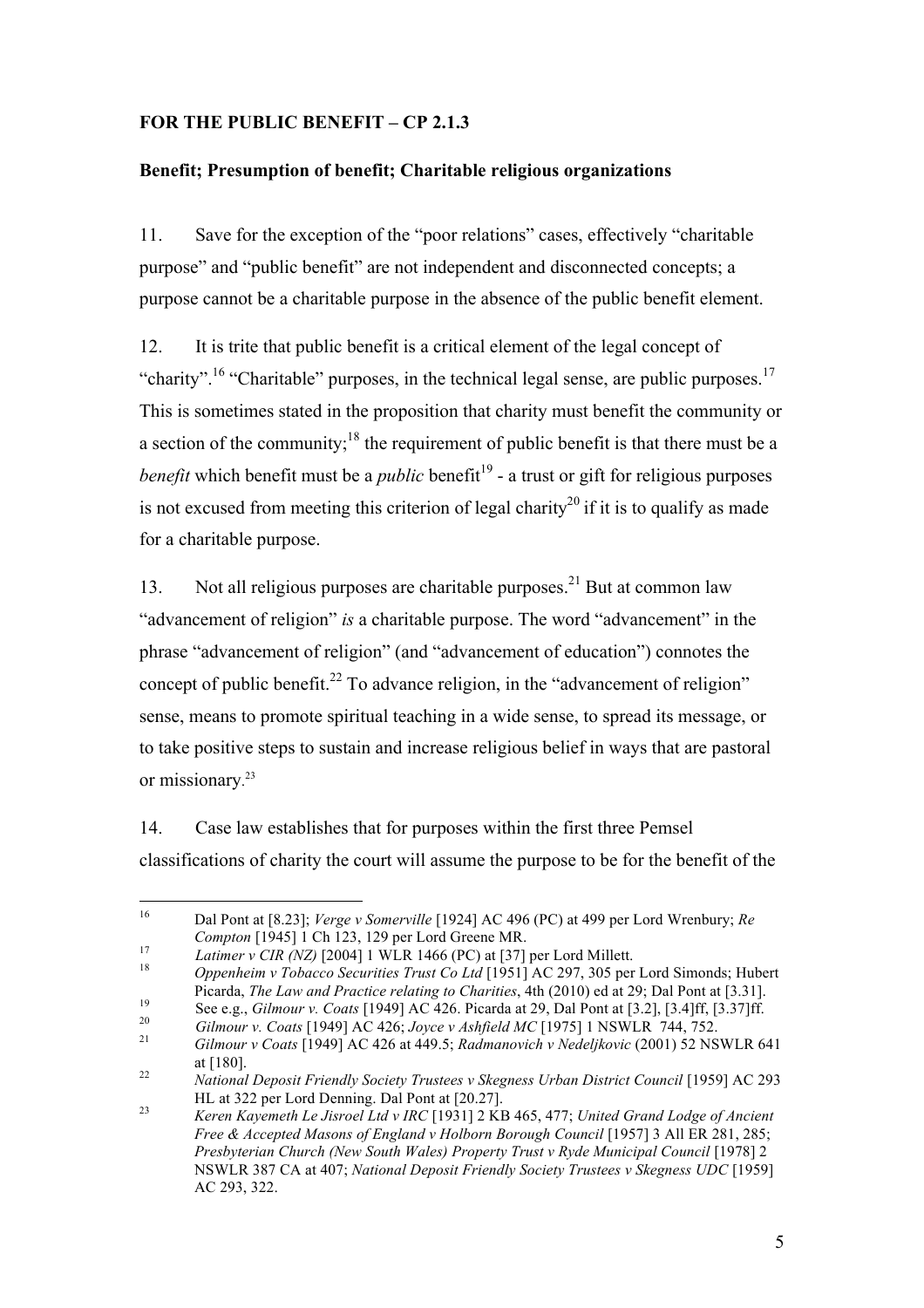#### **FOR THE PUBLIC BENEFIT – CP 2.1.3**

### **Benefit; Presumption of benefit; Charitable religious organizations**

 purpose cannot be a charitable purpose in the absence of the public benefit element. 11. Save for the exception of the "poor relations" cases, effectively "charitable purpose" and "public benefit" are not independent and disconnected concepts; a

is not excused from meeting this criterion of legal charity<sup>20</sup> if it is to qualify as made 12. It is trite that public benefit is a critical element of the legal concept of "charity".<sup>16</sup> "Charitable" purposes, in the technical legal sense, are public purposes.<sup>17</sup> This is sometimes stated in the proposition that charity must benefit the community or a section of the community;<sup>18</sup> the requirement of public benefit is that there must be a *benefit* which benefit must be a *public* benefit<sup>19</sup> - a trust or gift for religious purposes for a charitable purpose.

concept of public benefit.<sup>22</sup> To advance religion, in the "advancement of religion" or missionary. 23 13. Not all religious purposes are charitable purposes.<sup>21</sup> But at common law "advancement of religion" *is* a charitable purpose. The word "advancement" in the phrase "advancement of religion" (and "advancement of education") connotes the sense, means to promote spiritual teaching in a wide sense, to spread its message, or to take positive steps to sustain and increase religious belief in ways that are pastoral

14. Case law establishes that for purposes within the first three Pemsel classifications of charity the court will assume the purpose to be for the benefit of the

 $\overline{a}$  $17$ <sup>16</sup> Dal Pont at [8.23]; *Verge v Somerville* [1924] AC 496 (PC) at 499 per Lord Wrenbury; *Re*  Compton [1945] 1 Ch 123, 129 per Lord Greene MR.<br>Latimer v CIR (NZ) [2004] 1 WLR 1466 (PC) at [37] per Lord Millett.<br>Oppenheim v Tobacco Securities Trust Co Ltd [1951] AC 297, 305 per Lord Simonds; Hubert

<sup>18</sup> 

Picarda, *The Law and Practice relating to Charities*, 4th (2010) ed at 29; Dal Pont at [3.31]. 19

<sup>20</sup> 

 $21$ See e.g., Gilmour v. Coats [1949] AC 426. Picarda at 29, Dal Pont at [3.2], [3.4]ff, [3.37]ff.<br>Gilmour v. Coats [1949] AC 426; Joyce v Ashfield MC [1975] 1 NSWLR 744, 752.<br>Gilmour v Coats [1949] AC 426 at 449.5; Radmanovic

at [180].<br>*National Deposit Friendly Society Trustees v Skegness Urban District Council* [1959] AC 293

 $22\,$ HL at 322 per Lord Denning. Dal Pont at [20.27].  $23$ 

 *Free & Accepted Masons of England v Holborn Borough Council* [1957] 3 All ER 281, 285;  *Presbyterian Church (New South Wales) Property Trust v Ryde Municipal Council* [1978] 2 NSWLR 387 CA at 407; *National Deposit Friendly Society Trustees v Skegness UDC* [1959] Keren Kayemeth Le Jisroel Ltd v IRC [1931] 2 KB 465, 477; *United Grand Lodge of Ancient* AC 293, 322.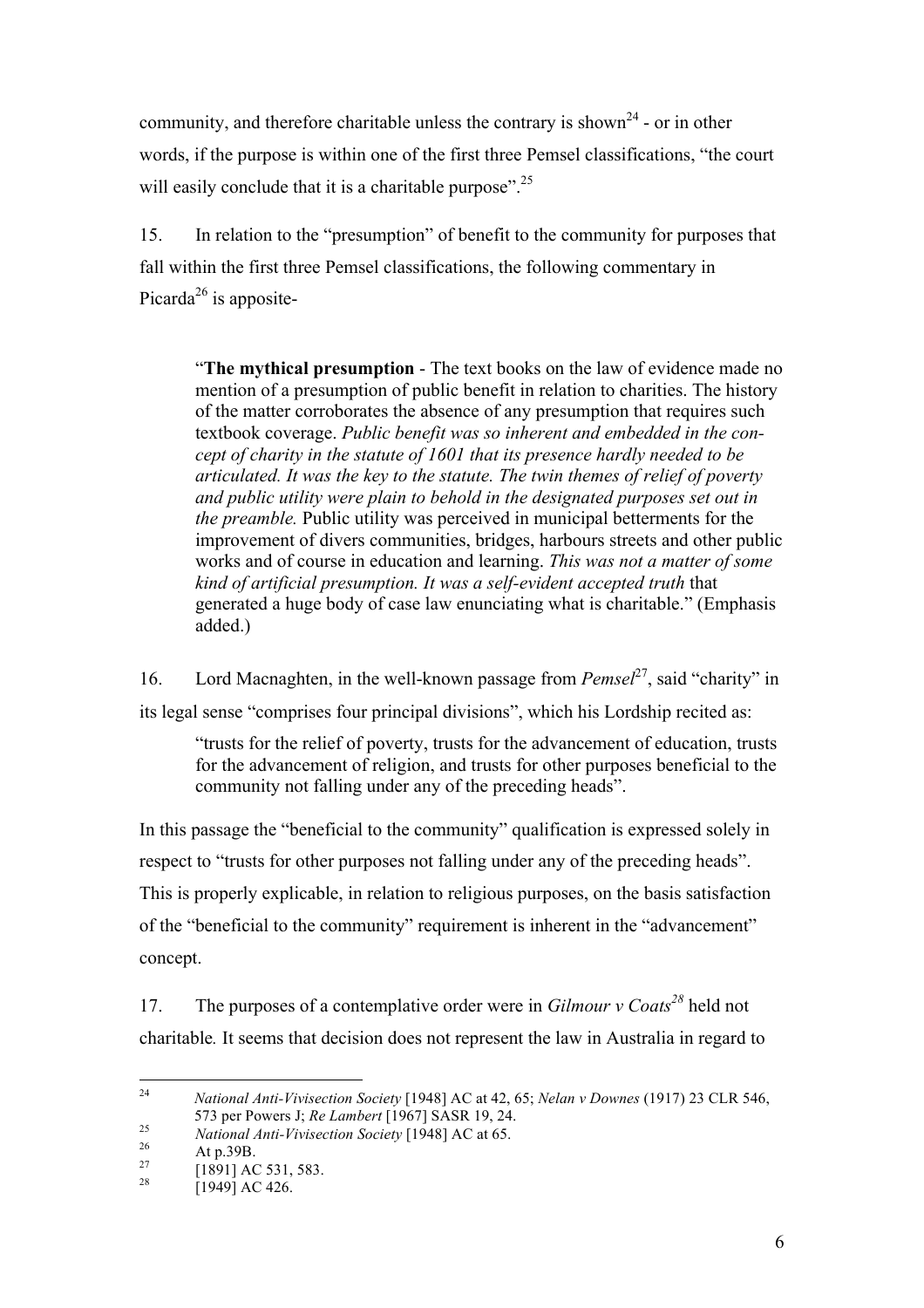words, if the purpose is within one of the first three Pemsel classifications, "the court community, and therefore charitable unless the contrary is shown<sup>24</sup> - or in other will easily conclude that it is a charitable purpose".<sup>25</sup>

Picarda<sup>26</sup> is apposite-15. In relation to the "presumption" of benefit to the community for purposes that fall within the first three Pemsel classifications, the following commentary in

 "**The mythical presumption** - The text books on the law of evidence made no generated a huge body of case law enunciating what is charitable." (Emphasis mention of a presumption of public benefit in relation to charities. The history of the matter corroborates the absence of any presumption that requires such textbook coverage. *Public benefit was so inherent and embedded in the concept of charity in the statute of 1601 that its presence hardly needed to be articulated. It was the key to the statute. The twin themes of relief of poverty and public utility were plain to behold in the designated purposes set out in the preamble.* Public utility was perceived in municipal betterments for the improvement of divers communities, bridges, harbours streets and other public works and of course in education and learning. *This was not a matter of some kind of artificial presumption. It was a self-evident accepted truth* that added.)

16. Lord Macnaghten, in the well-known passage from *Pemsel*27, said "charity" in its legal sense "comprises four principal divisions", which his Lordship recited as:

"trusts for the relief of poverty, trusts for the advancement of education, trusts for the advancement of religion, and trusts for other purposes beneficial to the community not falling under any of the preceding heads".

 This is properly explicable, in relation to religious purposes, on the basis satisfaction of the "beneficial to the community" requirement is inherent in the "advancement" In this passage the "beneficial to the community" qualification is expressed solely in respect to "trusts for other purposes not falling under any of the preceding heads". concept.

17. The purposes of a contemplative order were in *Gilmour v Coats<sup>28</sup>* held not charitable*.* It seems that decision does not represent the law in Australia in regard to

 $\overline{a}$ 573 per Powers J: Re Lambert [1967] SASR 19, 24. <sup>24</sup> *National Anti-Vivisection Society* [1948] AC at 42, 65; *Nelan v Downes* (1917) 23 CLR 546,

<sup>25</sup> *National Anti-Vivisection Society* [1948] AC at 65.<br>At p.39B. [1891] AC 531, 583. [1949] AC 426.

<sup>26</sup> 

<sup>27</sup> 

<sup>28</sup>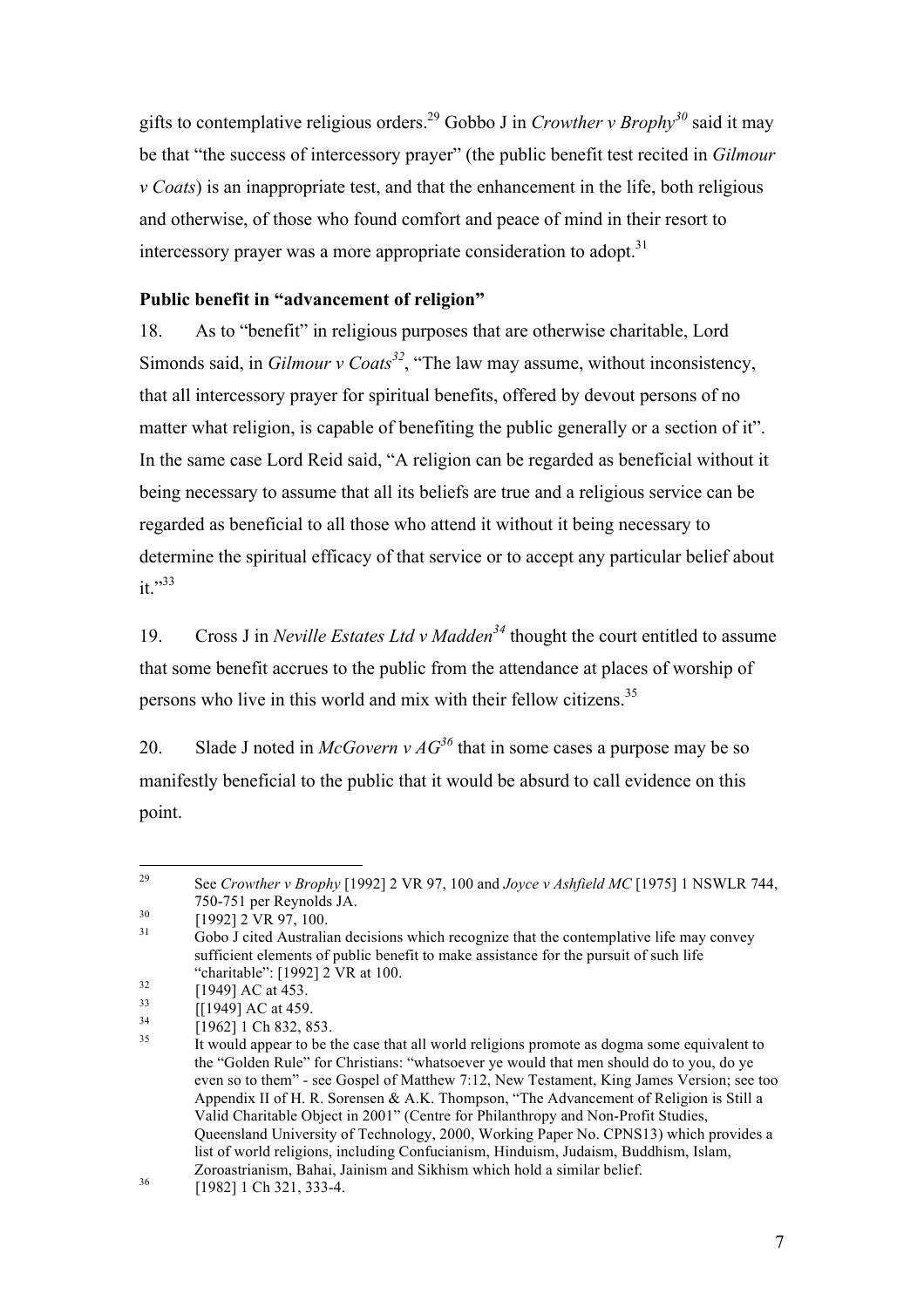gifts to contemplative religious orders.29 Gobbo J in *Crowther v Brophy30* said it may be that "the success of intercessory prayer" (the public benefit test recited in *Gilmour v Coats*) is an inappropriate test, and that the enhancement in the life, both religious and otherwise, of those who found comfort and peace of mind in their resort to intercessory prayer was a more appropriate consideration to adopt.<sup>31</sup>

#### **Public benefit in "advancement of religion"**

 18. As to "benefit" in religious purposes that are otherwise charitable, Lord matter what religion, is capable of benefiting the public generally or a section of it". Simonds said, in *Gilmour v Coats<sup>32</sup>*, "The law may assume, without inconsistency, that all intercessory prayer for spiritual benefits, offered by devout persons of no In the same case Lord Reid said, "A religion can be regarded as beneficial without it being necessary to assume that all its beliefs are true and a religious service can be regarded as beneficial to all those who attend it without it being necessary to determine the spiritual efficacy of that service or to accept any particular belief about it."<sup>33</sup>

19. Cross J in *Neville Estates Ltd v Madden<sup>34</sup>*thought the court entitled to assume that some benefit accrues to the public from the attendance at places of worship of persons who live in this world and mix with their fellow citizens.<sup>35</sup>

20. Slade J noted in *McGovern v AG*<sup>36</sup> that in some cases a purpose may be so manifestly beneficial to the public that it would be absurd to call evidence on this point.

<sup>29</sup> 750-751 per Reynolds JA. See *Crowther v Brophy* [1992] 2 VR 97, 100 and *Joyce v Ashfield MC* [1975] 1 NSWLR 744,

<sup>&</sup>quot;charitable": [1992] 2 VR at 100.<br>[1949] AC at 453. <sup>30</sup> [1992] 2 VR 97, 100.<br><sup>31</sup> Gobo J cited Australian decisions which recognize that the contemplative life may convey sufficient elements of public benefit to make assistance for the pursuit of such life

 $35$  even so to them" - see Gospel of Matthew 7:12, New Testament, King James Version; see too Appendix II of H. R. Sorensen & A.K. Thompson, "The Advancement of Religion is Still a Valid Charitable Object in 2001" (Centre for Philanthropy and Non-Profit Studies, Queensland University of Technology, 2000, Working Paper No. CPNS13) which provides a list of world religions, including Confucianism, Hinduism, Judaism, Buddhism, Islam, Zoroastrianism, Bahai, Jainism and Sikhism which hold a similar belief.<br><sup>36</sup> [1982] 1 Ch 321, 333-4. <sup>32</sup> [1949] AC at 453.<br>  $\begin{array}{l} [1949] \text{ AC at } 459. \ [1962] \text{ 1 Ch } 832, 853. \end{array}$  It would appear to be the case that all world religions promote as dogma some equivalent to the "Golden Rule" for Christians: "whatsoever ye would that men should do to you, do ye

<sup>36</sup>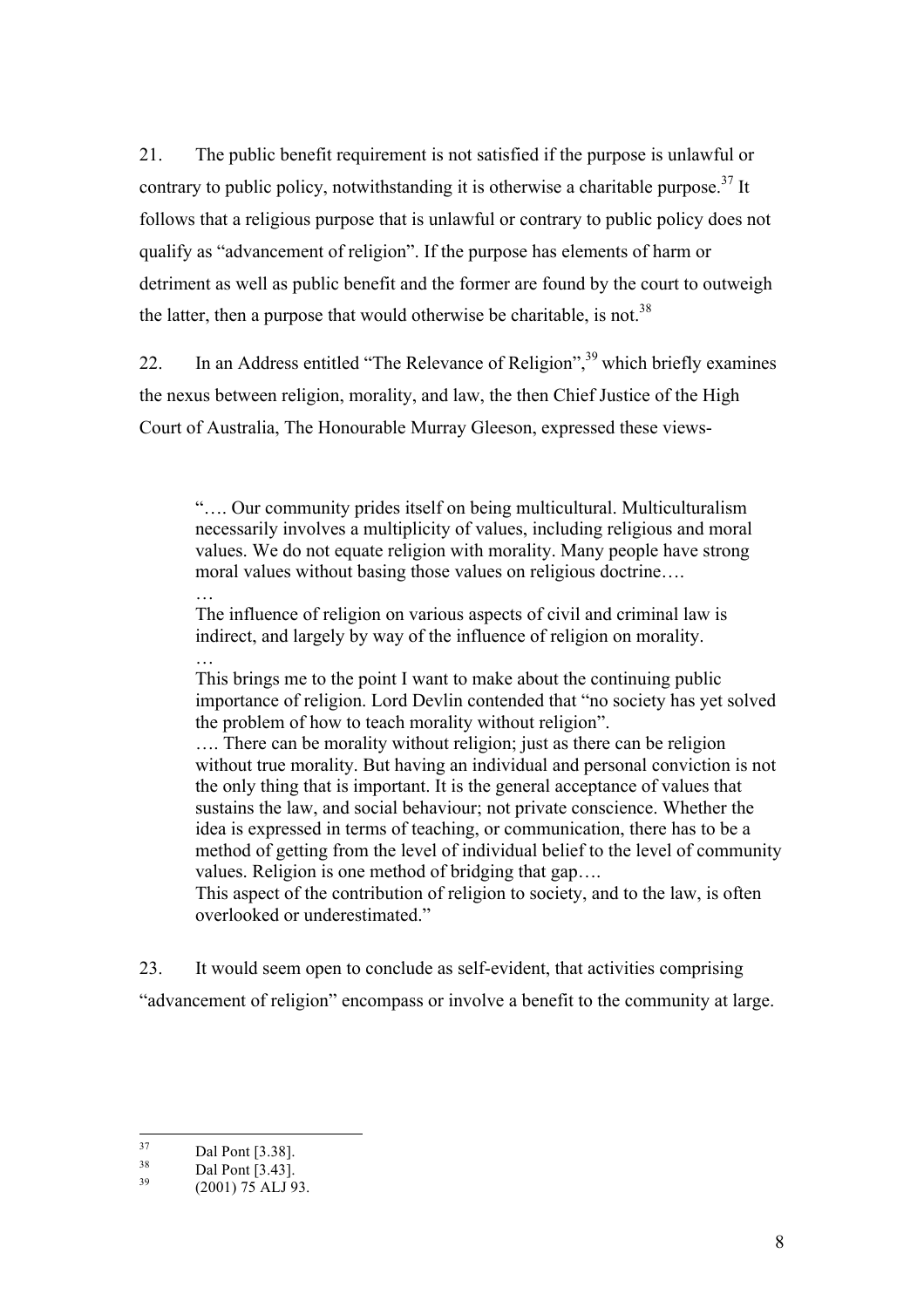21. The public benefit requirement is not satisfied if the purpose is unlawful or contrary to public policy, notwithstanding it is otherwise a charitable purpose.<sup>37</sup> It follows that a religious purpose that is unlawful or contrary to public policy does not qualify as "advancement of religion". If the purpose has elements of harm or detriment as well as public benefit and the former are found by the court to outweigh the latter, then a purpose that would otherwise be charitable, is not.<sup>38</sup>

22. In an Address entitled "The Relevance of Religion",39 which briefly examines the nexus between religion, morality, and law, the then Chief Justice of the High Court of Australia, The Honourable Murray Gleeson, expressed these views-

"…. Our community prides itself on being multicultural. Multiculturalism necessarily involves a multiplicity of values, including religious and moral values. We do not equate religion with morality. Many people have strong moral values without basing those values on religious doctrine….

The influence of religion on various aspects of civil and criminal law is indirect, and largely by way of the influence of religion on morality.

… This brings me to the point I want to make about the continuing public importance of religion. Lord Devlin contended that "no society has yet solved the problem of how to teach morality without religion".

…. There can be morality without religion; just as there can be religion without true morality. But having an individual and personal conviction is not the only thing that is important. It is the general acceptance of values that sustains the law, and social behaviour; not private conscience. Whether the idea is expressed in terms of teaching, or communication, there has to be a method of getting from the level of individual belief to the level of community values. Religion is one method of bridging that gap….

This aspect of the contribution of religion to society, and to the law, is often overlooked or underestimated."

23. It would seem open to conclude as self-evident, that activities comprising "advancement of religion" encompass or involve a benefit to the community at large.

…

 $\frac{38}{39}$ Dal Pont [3.38].<br>Dal Pont [3.43]. (2001) 75 ALJ 93.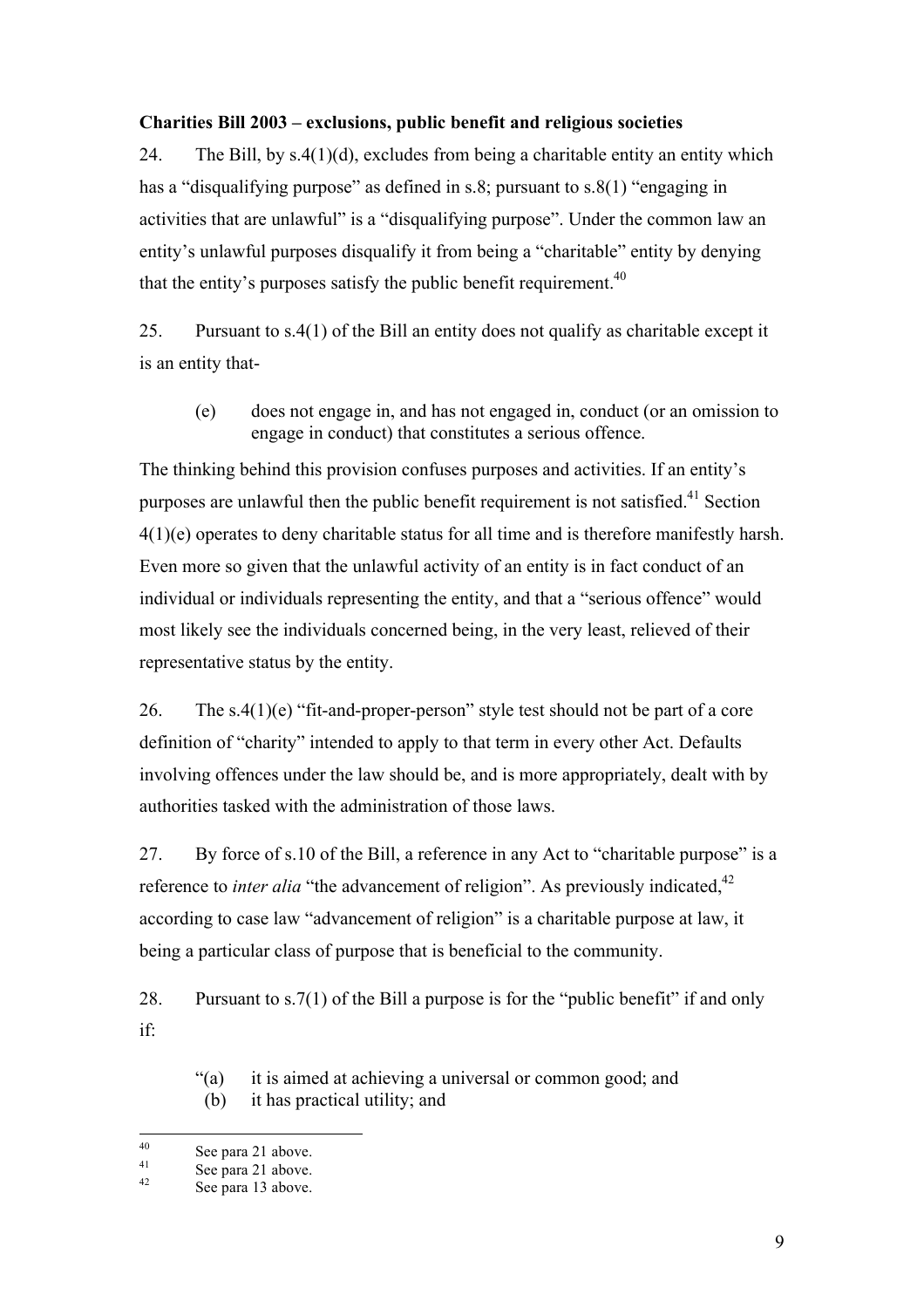#### **Charities Bill 2003 – exclusions, public benefit and religious societies**

24. The Bill, by  $s.4(1)(d)$ , excludes from being a charitable entity an entity which has a "disqualifying purpose" as defined in s.8; pursuant to s.8(1) "engaging in activities that are unlawful" is a "disqualifying purpose". Under the common law an entity's unlawful purposes disqualify it from being a "charitable" entity by denying that the entity's purposes satisfy the public benefit requirement.<sup>40</sup>

25. Pursuant to s.4(1) of the Bill an entity does not qualify as charitable except it is an entity that-

(e) does not engage in, and has not engaged in, conduct (or an omission to engage in conduct) that constitutes a serious offence.

The thinking behind this provision confuses purposes and activities. If an entity's purposes are unlawful then the public benefit requirement is not satisfied.<sup>41</sup> Section 4(1)(e) operates to deny charitable status for all time and is therefore manifestly harsh. Even more so given that the unlawful activity of an entity is in fact conduct of an individual or individuals representing the entity, and that a "serious offence" would most likely see the individuals concerned being, in the very least, relieved of their representative status by the entity.

26. The  $s.4(1)(e)$  "fit-and-proper-person" style test should not be part of a core involving offences under the law should be, and is more appropriately, dealt with by definition of "charity" intended to apply to that term in every other Act. Defaults authorities tasked with the administration of those laws.

27. By force of s.10 of the Bill, a reference in any Act to "charitable purpose" is a reference to *inter alia* "the advancement of religion". As previously indicated,<sup>42</sup> according to case law "advancement of religion" is a charitable purpose at law, it being a particular class of purpose that is beneficial to the community.

 28. Pursuant to s.7(1) of the Bill a purpose is for the "public benefit" if and only if:

- "(a) it is aimed at achieving a universal or common good; and
- (b) it has practical utility; and

<sup>&</sup>lt;sup>40</sup> See para 21 above.<br><sup>41</sup> See para 21 above.<br>See para 13 above.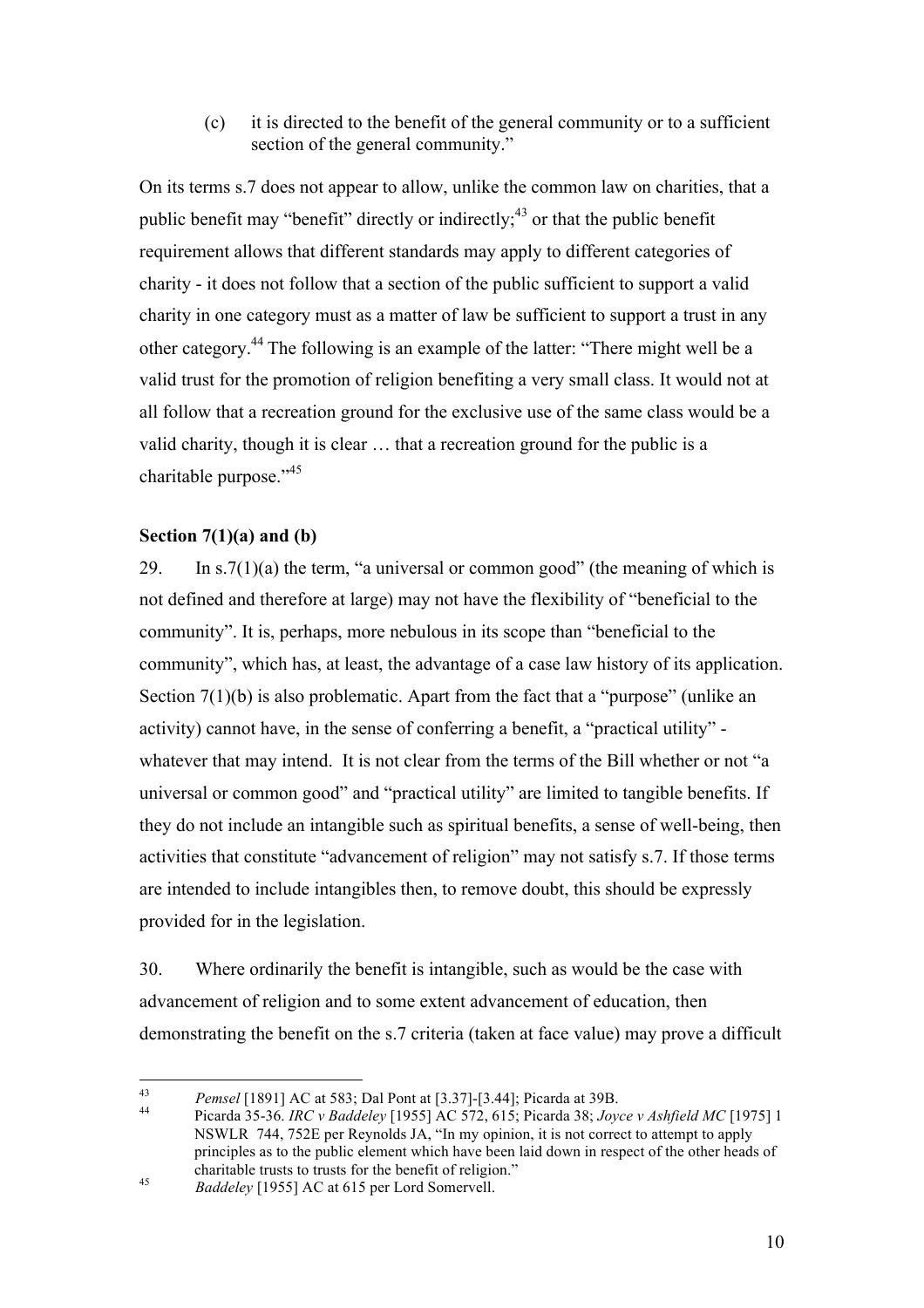(c) it is directed to the benefit of the general community or to a sufficient section of the general community."

 On its terms s.7 does not appear to allow, unlike the common law on charities, that a public benefit may "benefit" directly or indirectly;<sup>43</sup> or that the public benefit requirement allows that different standards may apply to different categories of charity - it does not follow that a section of the public sufficient to support a valid charity in one category must as a matter of law be sufficient to support a trust in any other category.44 The following is an example of the latter: "There might well be a valid trust for the promotion of religion benefiting a very small class. It would not at all follow that a recreation ground for the exclusive use of the same class would be a valid charity, though it is clear … that a recreation ground for the public is a charitable purpose."<sup>45</sup>

#### **Section 7(1)(a) and (b)**

29. In  $s.7(1)(a)$  the term, "a universal or common good" (the meaning of which is community". It is, perhaps, more nebulous in its scope than "beneficial to the community", which has, at least, the advantage of a case law history of its application. activity) cannot have, in the sense of conferring a benefit, a "practical utility" not defined and therefore at large) may not have the flexibility of "beneficial to the Section 7(1)(b) is also problematic. Apart from the fact that a "purpose" (unlike an whatever that may intend. It is not clear from the terms of the Bill whether or not "a universal or common good" and "practical utility" are limited to tangible benefits. If they do not include an intangible such as spiritual benefits, a sense of well-being, then activities that constitute "advancement of religion" may not satisfy s.7. If those terms are intended to include intangibles then, to remove doubt, this should be expressly provided for in the legislation.

 demonstrating the benefit on the s.7 criteria (taken at face value) may prove a difficult 30. Where ordinarily the benefit is intangible, such as would be the case with advancement of religion and to some extent advancement of education, then

 $43$ 

 NSWLR 744, 752E per Reynolds JA, "In my opinion, it is not correct to attempt to apply principles as to the public element which have been laid down in respect of the other heads of charitable trusts to trusts for the benefit of religion." <sup>43</sup>*Pemsel* [1891] AC at 583; Dal Pont at [3.37]-[3.44]; Picarda at 39B. 44 Picarda 35-36. *IRC v Baddeley* [1955] AC 572, 615; Picarda 38; *Joyce v Ashfield MC* [1975] 1

<sup>45</sup> Baddeley [1955] AC at 615 per Lord Somervell.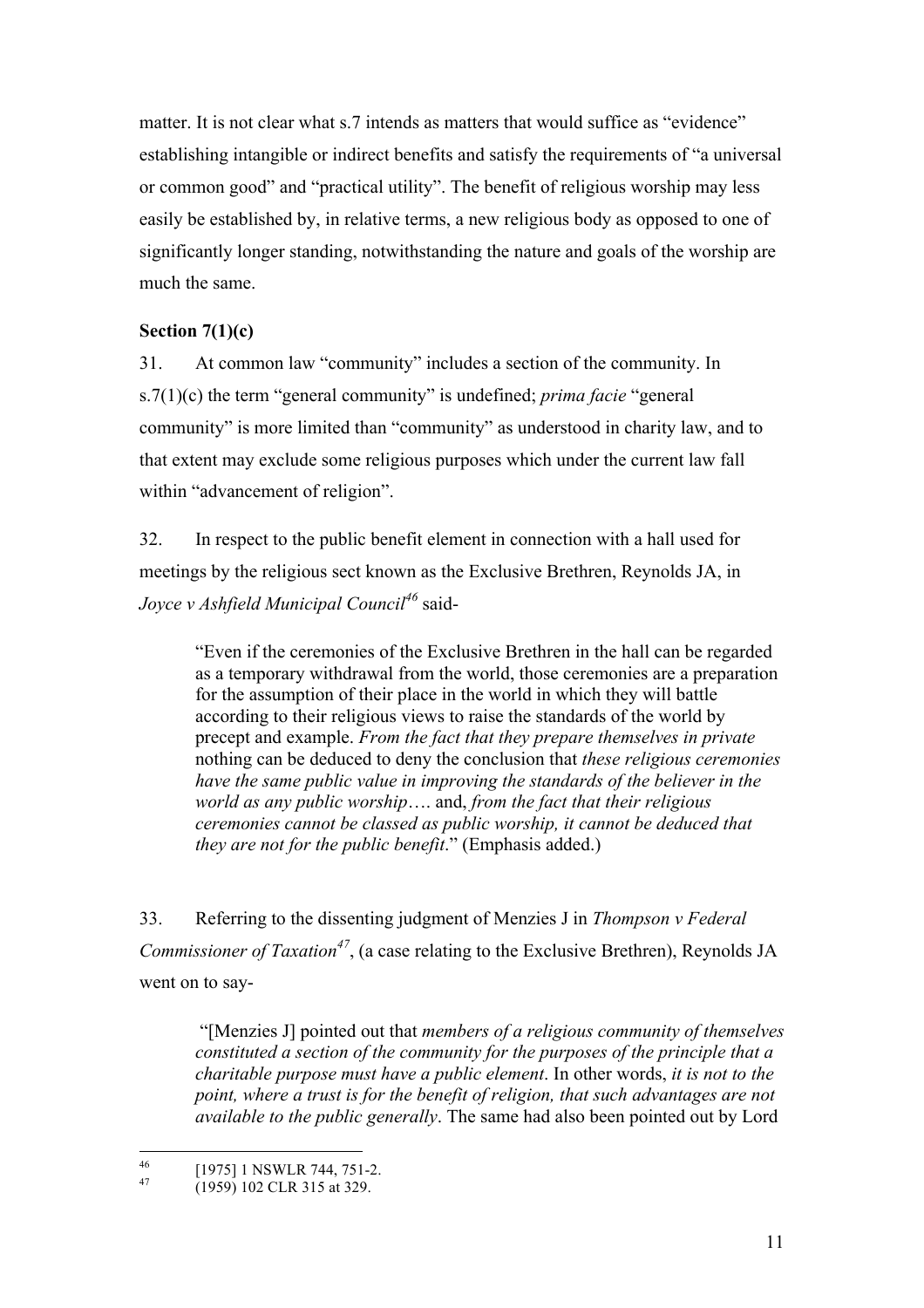matter. It is not clear what s.7 intends as matters that would suffice as "evidence" establishing intangible or indirect benefits and satisfy the requirements of "a universal or common good" and "practical utility". The benefit of religious worship may less easily be established by, in relative terms, a new religious body as opposed to one of significantly longer standing, notwithstanding the nature and goals of the worship are much the same.

#### **Section 7(1)(c)**

 s.7(1)(c) the term "general community" is undefined; *prima facie* "general 31. At common law "community" includes a section of the community. In community" is more limited than "community" as understood in charity law, and to that extent may exclude some religious purposes which under the current law fall within "advancement of religion".

 *Joyce v Ashfield Municipal Council<sup>46</sup>*said- 32. In respect to the public benefit element in connection with a hall used for meetings by the religious sect known as the Exclusive Brethren, Reynolds JA, in

"Even if the ceremonies of the Exclusive Brethren in the hall can be regarded as a temporary withdrawal from the world, those ceremonies are a preparation for the assumption of their place in the world in which they will battle according to their religious views to raise the standards of the world by precept and example. *From the fact that they prepare themselves in private*  nothing can be deduced to deny the conclusion that *these religious ceremonies have the same public value in improving the standards of the believer in the world as any public worship*…. and, *from the fact that their religious ceremonies cannot be classed as public worship, it cannot be deduced that they are not for the public benefit*." (Emphasis added.)

33. Referring to the dissenting judgment of Menzies J in *Thompson v Federal Commissioner of Taxation<sup>47</sup>*, (a case relating to the Exclusive Brethren), Reynolds JA went on to say-

"[Menzies J] pointed out that *members of a religious community of themselves constituted a section of the community for the purposes of the principle that a charitable purpose must have a public element*. In other words, *it is not to the point, where a trust is for the benefit of religion, that such advantages are not available to the public generally*. The same had also been pointed out by Lord

<sup>[1975] 1</sup> NSWLR 744, 751-2.<br>(1959) 102 CLR 315 at 329.

<sup>47</sup>